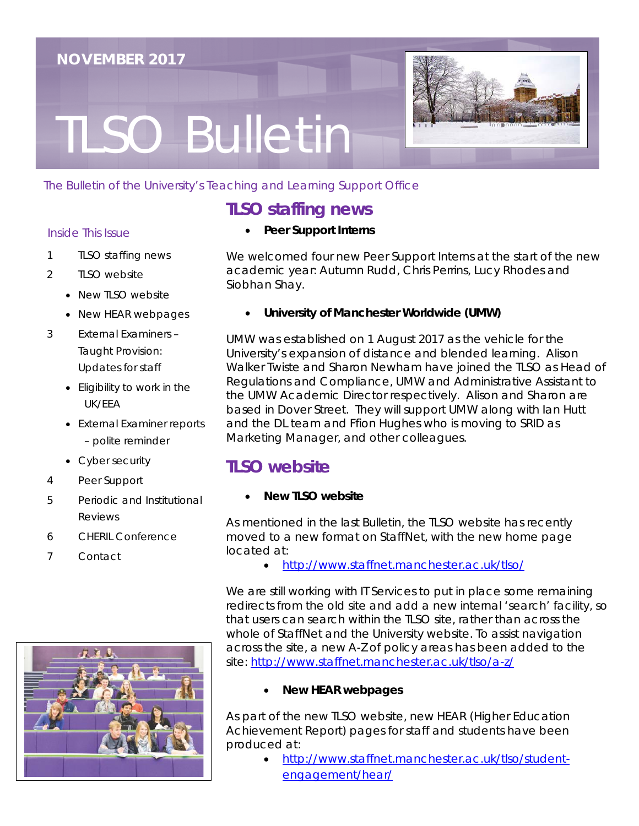# TLSO Bulletin



#### The Bulletin of the University's Teaching and Learning Support Office

## **TLSO staffing news**

#### Inside This Issue

- 1 TLSO staffing news
- 2 TLSO website
	- New TLSO website
	- New HEAR webpages
- 3 External Examiners Taught Provision: Updates for staff
	- Eligibility to work in the UK/EEA
	- External Examiner reports – polite reminder
	- Cyber security
- 4 Peer Support
- 5 Periodic and Institutional Reviews
- 6 CHERIL Conference
- 7 Contact



• **Peer Support Interns**

We welcomed four new Peer Support Interns at the start of the new academic year: Autumn Rudd, Chris Perrins, Lucy Rhodes and Siobhan Shay.

• **University of Manchester Worldwide (UMW)**

UMW was established on 1 August 2017 as the vehicle for the University's expansion of distance and blended learning. Alison Walker Twiste and Sharon Newham have joined the TLSO as Head of Regulations and Compliance, UMW and Administrative Assistant to the UMW Academic Director respectively. Alison and Sharon are based in Dover Street. They will support UMW along with Ian Hutt and the DL team and Ffion Hughes who is moving to SRID as Marketing Manager, and other colleagues.

## **TLSO website**

### • **New TLSO website**

As mentioned in the last Bulletin, the TLSO website has recently moved to a new format on StaffNet, with the new home page located at:

• <http://www.staffnet.manchester.ac.uk/tlso/>

We are still working with IT Services to put in place some remaining redirects from the old site and add a new internal 'search' facility, so that users can search within the TLSO site, rather than across the whole of StaffNet and the University website. To assist navigation across the site, a new A-Z of policy areas has been added to the site: <http://www.staffnet.manchester.ac.uk/tlso/a-z/>

• **New HEAR webpages**

As part of the new TLSO website, new HEAR (Higher Education Achievement Report) pages for staff and students have been produced at:

• [http://www.staffnet.manchester.ac.uk/tlso/student](http://www.staffnet.manchester.ac.uk/tlso/student-engagement/hear/)[engagement/hear/](http://www.staffnet.manchester.ac.uk/tlso/student-engagement/hear/)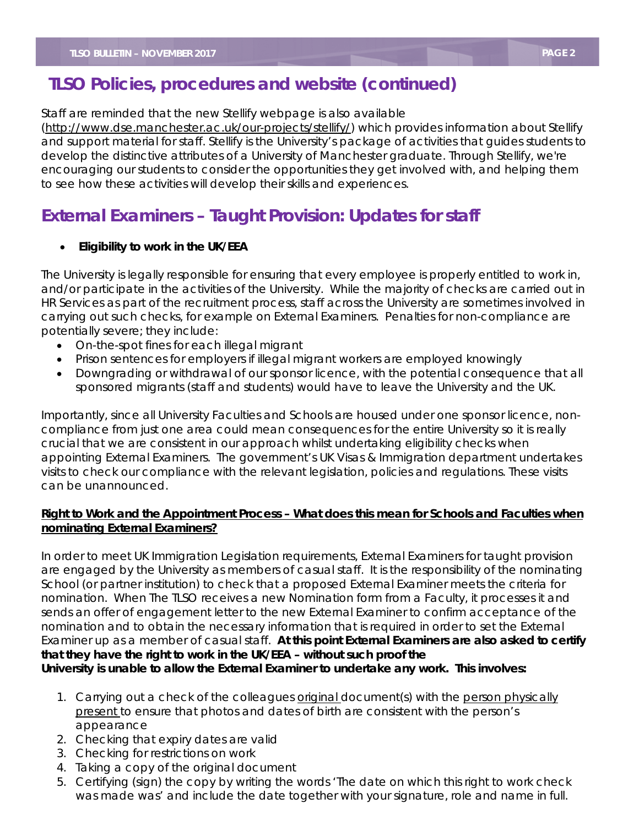## **TLSO Policies, procedures and website (continued)**

Staff are reminded that the new Stellify webpage is also available

[\(http://www.dse.manchester.ac.uk/our-projects/stellify/\)](http://www.dse.manchester.ac.uk/our-projects/stellify/) which provides information about Stellify and support material for staff. Stellify is the University's package of activities that guides students to develop the distinctive attributes of a University of Manchester graduate. Through Stellify, we're encouraging our students to consider the opportunities they get involved with, and helping them to see how these activities will develop their skills and experiences.

## **External Examiners – Taught Provision: Updates for staff**

#### • **Eligibility to work in the UK/EEA**

The University is legally responsible for ensuring that every employee is properly entitled to work in, and/or participate in the activities of the University. While the majority of checks are carried out in HR Services as part of the recruitment process, staff across the University are sometimes involved in carrying out such checks, for example on External Examiners. Penalties for non-compliance are potentially severe; they include:

- On-the-spot fines for each illegal migrant
- Prison sentences for employers if illegal migrant workers are employed knowingly
- Downgrading or withdrawal of our sponsor licence, with the potential consequence that all sponsored migrants (staff and students) would have to leave the University and the UK.

Importantly, since all University Faculties and Schools are housed under one sponsor licence, noncompliance from just one area could mean consequences for the entire University so it is really crucial that we are consistent in our approach whilst undertaking eligibility checks when appointing External Examiners. The government's UK Visas & Immigration department undertakes visits to check our compliance with the relevant legislation, policies and regulations. These visits can be unannounced.

#### **Right to Work and the Appointment Process – What does this mean for Schools and Faculties when nominating External Examiners?**

In order to meet UK Immigration Legislation requirements, External Examiners for taught provision are engaged by the University as members of casual staff. It is the responsibility of the nominating School (or partner institution) to check that a proposed External Examiner meets the criteria for nomination. When The TLSO receives a new Nomination form from a Faculty, it processes it and sends an offer of engagement letter to the new External Examiner to confirm acceptance of the nomination and to obtain the necessary information that is required in order to set the External Examiner up as a member of casual staff. **At this point External Examiners are also asked to certify that they have the right to work in the UK/EEA – without such proof the** 

**University is unable to allow the External Examiner to undertake any work. This involves:**

- 1. Carrying out a check of the colleagues **original** document(s) with the person physically present to ensure that photos and dates of birth are consistent with the person's appearance
- 2. Checking that expiry dates are valid
- 3. Checking for restrictions on work
- 4. Taking a copy of the original document
- 5. Certifying (sign) the copy by writing the words 'The date on which this right to work check was made was' and include the date together with your signature, role and name in full.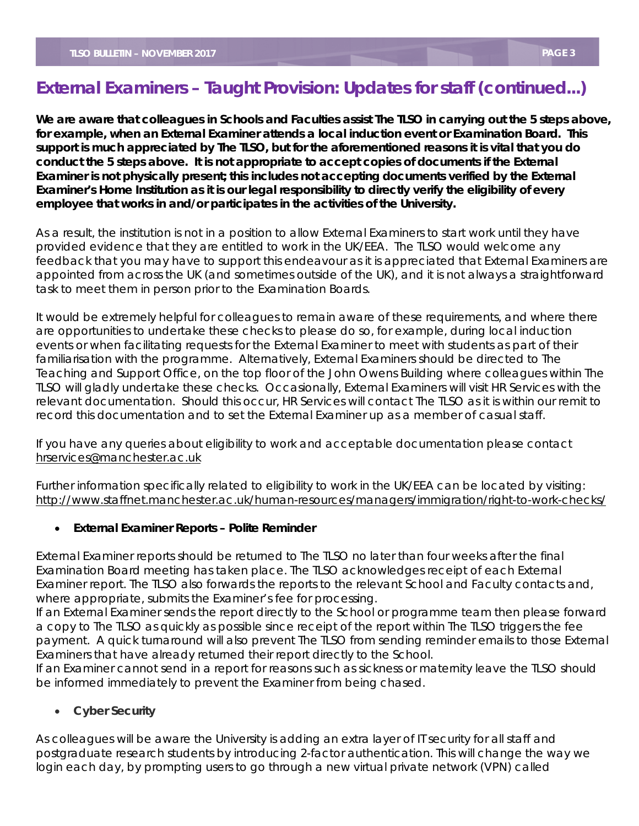## **External Examiners – Taught Provision: Updates for staff (continued...)**

**We are aware that colleagues in Schools and Faculties assist The TLSO in carrying out the 5 steps above, for example, when an External Examiner attends a local induction event or Examination Board. This support is much appreciated by The TLSO, but for the aforementioned reasons it is vital that you do conduct the 5 steps above. It is not appropriate to accept copies of documents if the External Examiner is not physically present; this includes not accepting documents verified by the External Examiner's Home Institution as it is our legal responsibility to directly verify the eligibility of every employee that works in and/or participates in the activities of the University.**

As a result, the institution is not in a position to allow External Examiners to start work until they have provided evidence that they are entitled to work in the UK/EEA. The TLSO would welcome any feedback that you may have to support this endeavour as it is appreciated that External Examiners are appointed from across the UK (and sometimes outside of the UK), and it is not always a straightforward task to meet them in person prior to the Examination Boards.

It would be extremely helpful for colleagues to remain aware of these requirements, and where there are opportunities to undertake these checks to please do so, for example, during local induction events or when facilitating requests for the External Examiner to meet with students as part of their familiarisation with the programme. Alternatively, External Examiners should be directed to The Teaching and Support Office, on the top floor of the John Owens Building where colleagues within The TLSO will gladly undertake these checks. Occasionally, External Examiners will visit HR Services with the relevant documentation. Should this occur, HR Services will contact The TLSO as it is within our remit to record this documentation and to set the External Examiner up as a member of casual staff.

If you have any queries about eligibility to work and acceptable documentation please contact [hrservices@manchester.ac.uk](mailto:hrservices@manchester.ac.uk)

Further information specifically related to eligibility to work in the UK/EEA can be located by visiting: <http://www.staffnet.manchester.ac.uk/human-resources/managers/immigration/right-to-work-checks/>

#### • **External Examiner Reports – Polite Reminder**

External Examiner reports should be returned to The TLSO no later than four weeks after the final Examination Board meeting has taken place. The TLSO acknowledges receipt of each External Examiner report. The TLSO also forwards the reports to the relevant School and Faculty contacts and, where appropriate, submits the Examiner's fee for processing.

If an External Examiner sends the report directly to the School or programme team then please forward a copy to The TLSO as quickly as possible since receipt of the report within The TLSO triggers the fee payment. A quick turnaround will also prevent The TLSO from sending reminder emails to those External Examiners that have already returned their report directly to the School.

If an Examiner cannot send in a report for reasons such as sickness or maternity leave the TLSO should be informed immediately to prevent the Examiner from being chased.

• **Cyber Security**

As colleagues will be aware the University is adding an extra layer of IT security for all staff and postgraduate research students by introducing 2-factor authentication. This will change the way we login each day, by prompting users to go through a new virtual private network (VPN) called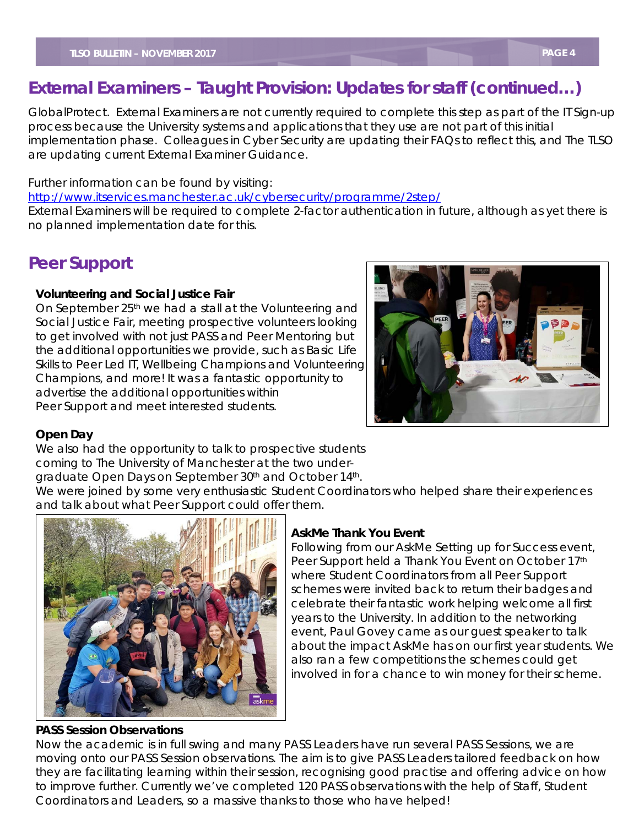## **External Examiners – Taught Provision: Updates for staff (continued…)**

 implementation phase. Colleagues in Cyber Security are updating their FAQs to reflect this, and The TLSO GlobalProtect. External Examiners are not currently required to complete this step as part of the IT Sign-up process because the University systems and applications that they use are not part of this initial are updating current External Examiner Guidance.

Further information can be found by visiting:

<http://www.itservices.manchester.ac.uk/cybersecurity/programme/2step/>

External Examiners will be required to complete 2-factor authentication in future, although as yet there is no planned implementation date for this.

## **Peer Support**

#### **Volunteering and Social Justice Fair**

On September 25<sup>th</sup> we had a stall at the Volunteering and Social Justice Fair, meeting prospective volunteers looking to get involved with not just PASS and Peer Mentoring but the additional opportunities we provide, such as Basic Life Skills to Peer Led IT, Wellbeing Champions and Volunteering Champions, and more! It was a fantastic opportunity to advertise the additional opportunities within Peer Support and meet interested students.



### **Open Day**

We also had the opportunity to talk to prospective students coming to The University of Manchester at the two under-

graduate Open Days on September 30<sup>th</sup> and October 14<sup>th</sup>.

We were joined by some very enthusiastic Student Coordinators who helped share their experiences and talk about what Peer Support could offer them.



#### **PASS Session Observations**

#### **AskMe Thank You Event**

Following from our AskMe Setting up for Success event, Peer Support held a Thank You Event on October 17th where Student Coordinators from all Peer Support schemes were invited back to return their badges and celebrate their fantastic work helping welcome all first years to the University. In addition to the networking event, Paul Govey came as our guest speaker to talk about the impact AskMe has on our first year students. We also ran a few competitions the schemes could get involved in for a chance to win money for their scheme.

Now the academic is in full swing and many PASS Leaders have run several PASS Sessions, we are moving onto our PASS Session observations. The aim is to give PASS Leaders tailored feedback on how they are facilitating learning within their session, recognising good practise and offering advice on how to improve further. Currently we've completed 120 PASS observations with the help of Staff, Student Coordinators and Leaders, so a massive thanks to those who have helped!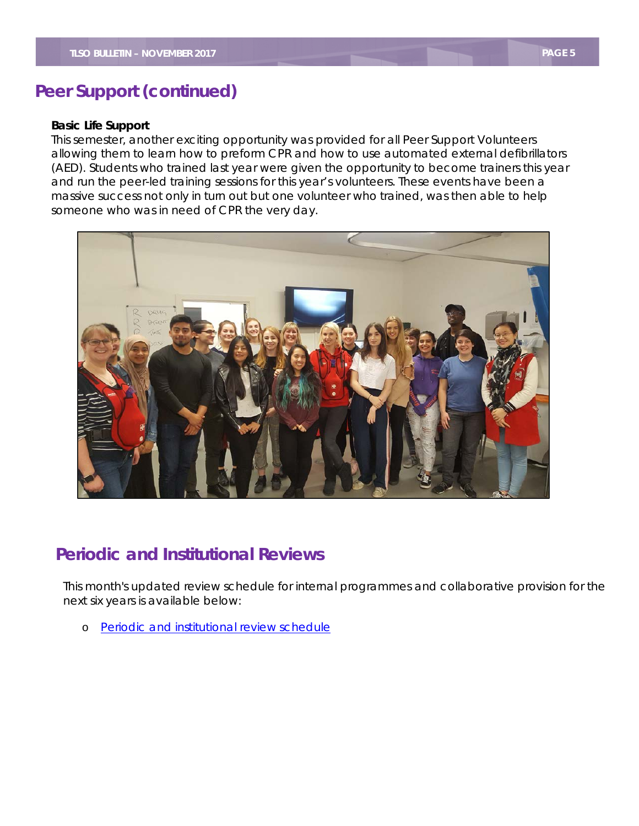## **Peer Support (continued)**

#### **Basic Life Support**

 This semester, another exciting opportunity was provided for all Peer Support Volunteers allowing them to learn how to preform CPR and how to use automated external defibrillators (AED). Students who trained last year were given the opportunity to become trainers this year and run the peer-led training sessions for this year's volunteers. These events have been a massive success not only in turn out but one volunteer who trained, was then able to help someone who was in need of CPR the very day.



## **Periodic and Institutional Reviews**

 next six years is available below: This month's updated review schedule for internal programmes and collaborative provision for the

o [Periodic and institutional review schedule](http://documents.manchester.ac.uk/display.aspx?DocID=10980)